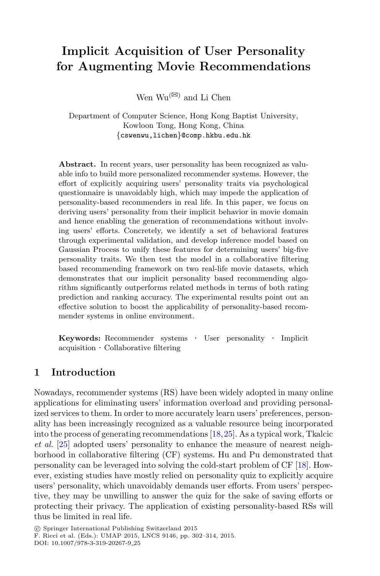# **Implicit Acquisition of User Personality for Augmenting Movie Recommendations**

Wen  $\text{Wu}^{(\boxtimes)}$  and Li Chen

Department of Computer Science, Hong Kong Baptist University, Kowloon Tong, Hong Kong, China *{*cswenwu,lichen*}*@comp.hkbu.edu.hk

Abstract. In recent years, user personality has been recognized as valuable info to build more personalized recommender systems. However, the effort of explicitly acquiring users' personality traits via psychological questionnaire is unavoidably high, which may impede the application of personality-based recommenders in real life. In this paper, we focus on deriving users' personality from their implicit behavior in movie domain and hence enabling the generation of recommendations without involving users' efforts. Concretely, we identify a set of behavioral features through experimental validation, and develop inference model based on Gaussian Process to unify these features for determining users' big-five personality traits. We then test the model in a collaborative filtering based recommending framework on two real-life movie datasets, which demonstrates that our implicit personality based recommending algorithm significantly outperforms related methods in terms of both rating prediction and ranking accuracy. The experimental results point out an effective solution to boost the applicability of personality-based recommender systems in online environment.

**Keywords:** Recommender systems · User personality · Implicit acquisition · Collaborative filtering

### **1 Introduction**

Nowadays, recommender systems (RS) have been widely adopted in many online applications for eliminating users' information overload and providing personalized services to them. In order to more accurately learn users' preferences, personality has been increasingly recognized as a valuable resource being incorporated into the process of generating recommendations [\[18](#page-12-0)[,25](#page-12-1)]. As a typical work, Tkalcic *et al.* [\[25](#page-12-1)] adopted users' personality to enhance the measure of nearest neighborhood in collaborative filtering (CF) systems. Hu and Pu demonstrated that personality can be leveraged into solving the cold-start problem of CF [\[18](#page-12-0)]. However, existing studies have mostly relied on personality quiz to explicitly acquire users' personality, which unavoidably demands user efforts. From users' perspective, they may be unwilling to answer the quiz for the sake of saving efforts or protecting their privacy. The application of existing personality-based RSs will thus be limited in real life.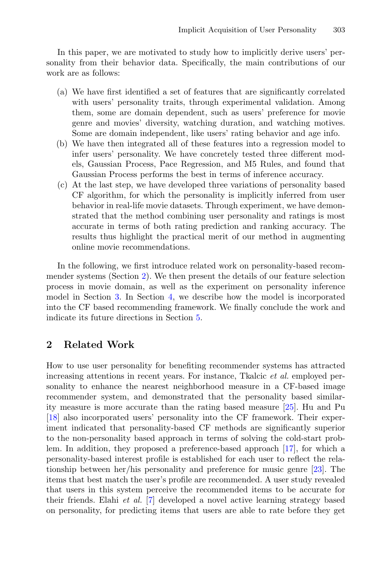In this paper, we are motivated to study how to implicitly derive users' personality from their behavior data. Specifically, the main contributions of our work are as follows:

- (a) We have first identified a set of features that are significantly correlated with users' personality traits, through experimental validation. Among them, some are domain dependent, such as users' preference for movie genre and movies' diversity, watching duration, and watching motives. Some are domain independent, like users' rating behavior and age info.
- (b) We have then integrated all of these features into a regression model to infer users' personality. We have concretely tested three different models, Gaussian Process, Pace Regression, and M5 Rules, and found that Gaussian Process performs the best in terms of inference accuracy.
- (c) At the last step, we have developed three variations of personality based CF algorithm, for which the personality is implicitly inferred from user behavior in real-life movie datasets. Through experiment, we have demonstrated that the method combining user personality and ratings is most accurate in terms of both rating prediction and ranking accuracy. The results thus highlight the practical merit of our method in augmenting online movie recommendations.

In the following, we first introduce related work on personality-based recommender systems (Section [2\)](#page-1-0). We then present the details of our feature selection process in movie domain, as well as the experiment on personality inference model in Section [3.](#page-2-0) In Section [4,](#page-7-0) we describe how the model is incorporated into the CF based recommending framework. We finally conclude the work and indicate its future directions in Section [5.](#page-10-0)

## <span id="page-1-0"></span>**2 Related Work**

How to use user personality for benefiting recommender systems has attracted increasing attentions in recent years. For instance, Tkalcic *et al.* employed personality to enhance the nearest neighborhood measure in a CF-based image recommender system, and demonstrated that the personality based similarity measure is more accurate than the rating based measure [\[25\]](#page-12-1). Hu and Pu [\[18](#page-12-0)] also incorporated users' personality into the CF framework. Their experiment indicated that personality-based CF methods are significantly superior to the non-personality based approach in terms of solving the cold-start problem. In addition, they proposed a preference-based approach [\[17\]](#page-12-2), for which a personality-based interest profile is established for each user to reflect the relationship between her/his personality and preference for music genre [\[23\]](#page-12-3). The items that best match the user's profile are recommended. A user study revealed that users in this system perceive the recommended items to be accurate for their friends. Elahi *et al.* [\[7\]](#page-11-0) developed a novel active learning strategy based on personality, for predicting items that users are able to rate before they get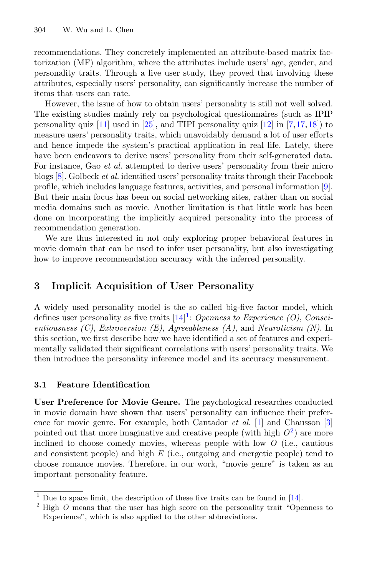recommendations. They concretely implemented an attribute-based matrix factorization (MF) algorithm, where the attributes include users' age, gender, and personality traits. Through a live user study, they proved that involving these attributes, especially users' personality, can significantly increase the number of items that users can rate.

However, the issue of how to obtain users' personality is still not well solved. The existing studies mainly rely on psychological questionnaires (such as IPIP personality quiz  $[11]$  $[11]$  used in  $[25]$ , and TIPI personality quiz  $[12]$  $[12]$  in  $[7,17,18]$  $[7,17,18]$  $[7,17,18]$  $[7,17,18]$  to measure users' personality traits, which unavoidably demand a lot of user efforts and hence impede the system's practical application in real life. Lately, there have been endeavors to derive users' personality from their self-generated data. For instance, Gao *et al.* attempted to derive users' personality from their micro blogs [\[8\]](#page-12-6). Golbeck *et al.* identified users' personality traits through their Facebook profile, which includes language features, activities, and personal information [\[9\]](#page-12-7). But their main focus has been on social networking sites, rather than on social media domains such as movie. Another limitation is that little work has been done on incorporating the implicitly acquired personality into the process of recommendation generation.

We are thus interested in not only exploring proper behavioral features in movie domain that can be used to infer user personality, but also investigating how to improve recommendation accuracy with the inferred personality.

# <span id="page-2-0"></span>**3 Implicit Acquisition of User Personality**

A widely used personality model is the so called big-five factor model, which defines user personality as five traits [\[14](#page-12-8)] <sup>1</sup>: *Openness to Experience (O)*, *Conscientiousness (C)*, *Extroversion (E)*, *Agreeableness (A)*, and *Neuroticism (N)*. In this section, we first describe how we have identified a set of features and experimentally validated their significant correlations with users' personality traits. We then introduce the personality inference model and its accuracy measurement.

### **3.1 Feature Identification**

**User Preference for Movie Genre.** The psychological researches conducted in movie domain have shown that users' personality can influence their preference for movie genre. For example, both Cantador *et al.* [\[1](#page-11-1)] and Chausson [\[3](#page-11-2)] pointed out that more imaginative and creative people (with high  $O^2$ ) are more inclined to choose comedy movies, whereas people with low *O* (i.e., cautious and consistent people) and high *E* (i.e., outgoing and energetic people) tend to choose romance movies. Therefore, in our work, "movie genre" is taken as an important personality feature.

 $^{\rm 1}$  Due to space limit, the description of these five traits can be found in [\[14\]](#page-12-8).

<sup>2</sup> High *O* means that the user has high score on the personality trait "Openness to Experience", which is also applied to the other abbreviations.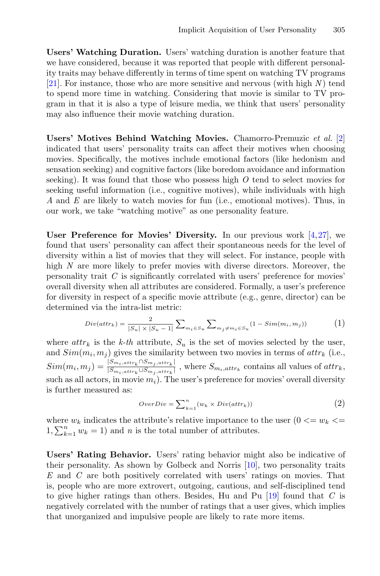**Users' Watching Duration.** Users' watching duration is another feature that we have considered, because it was reported that people with different personality traits may behave differently in terms of time spent on watching TV programs [\[21](#page-12-9)]. For instance, those who are more sensitive and nervous (with high *N* ) tend to spend more time in watching. Considering that movie is similar to TV program in that it is also a type of leisure media, we think that users' personality may also influence their movie watching duration.

**Users' Motives Behind Watching Movies.** Chamorro-Premuzic *et al.* [\[2\]](#page-11-3) indicated that users' personality traits can affect their motives when choosing movies. Specifically, the motives include emotional factors (like hedonism and sensation seeking) and cognitive factors (like boredom avoidance and information seeking). It was found that those who possess high *O* tend to select movies for seeking useful information (i.e., cognitive motives), while individuals with high *A* and *E* are likely to watch movies for fun (i.e., emotional motives). Thus, in our work, we take "watching motive" as one personality feature.

**User Preference for Movies' Diversity.** In our previous work [\[4](#page-11-4)[,27](#page-12-10)], we found that users' personality can affect their spontaneous needs for the level of diversity within a list of movies that they will select. For instance, people with high *N* are more likely to prefer movies with diverse directors. Moreover, the personality trait *C* is significantly correlated with users' preference for movies' overall diversity when all attributes are considered. Formally, a user's preference for diversity in respect of a specific movie attribute (e.g., genre, director) can be determined via the intra-list metric:

$$
Div(attr_k) = \frac{2}{|S_u| \times |S_u - 1|} \sum_{m_i \in S_u} \sum_{m_j \neq m_i \in S_u} (1 - Sim(m_i, m_j))
$$
(1)

<span id="page-3-0"></span>where  $attr_k$  is the *k-th* attribute,  $S_u$  is the set of movies selected by the user, and  $Sim(m_i, m_j)$  gives the similarity between two movies in terms of  $attr_k$  (i.e., and  $Sim(m_i, m_j)$  gives the similarity between two movies in terms of  $attr_k$  (i.e.,  $Sim(m_i, m_j) = \frac{|S_{m_i,attr_k} \cap S_{m_j,attr_k}|}{|S_{m_i,attr_k} \cup S_{m_j,attr_k}|}$ , where  $S_{m_i,attr_k}$  contains all values of  $attr_k$ , such as all actors, in movie  $m_i$ ). The user's preference for movies' overall diversity is further measured as:

$$
OverDiv = \sum_{k=1}^{n} (w_k \times Div(attr_k))
$$
\n(2)

<span id="page-3-1"></span>where  $w_k$  indicates the attribute's relative importance to the user  $(0 \leq w_k \leq$  $1, \sum_{k=1}^{n} w_k = 1$  and *n* is the total number of attributes.

**Users' Rating Behavior.** Users' rating behavior might also be indicative of their personality. As shown by Golbeck and Norris [\[10](#page-12-11)], two personality traits *E* and *C* are both positively correlated with users' ratings on movies. That is, people who are more extrovert, outgoing, cautious, and self-disciplined tend to give higher ratings than others. Besides, Hu and Pu [\[19](#page-12-12)] found that *C* is negatively correlated with the number of ratings that a user gives, which implies that unorganized and impulsive people are likely to rate more items.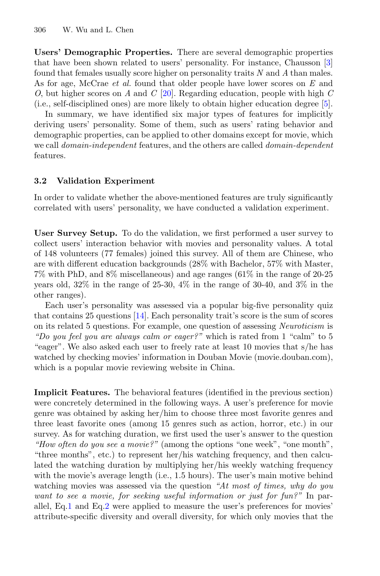**Users' Demographic Properties.** There are several demographic properties that have been shown related to users' personality. For instance, Chausson [\[3](#page-11-2)] found that females usually score higher on personality traits *N* and *A* than males. As for age, McCrae *et al.* found that older people have lower scores on *E* and *O*, but higher scores on *A* and *C* [\[20](#page-12-13)]. Regarding education, people with high *C* (i.e., self-disciplined ones) are more likely to obtain higher education degree [\[5\]](#page-11-5).

In summary, we have identified six major types of features for implicitly deriving users' personality. Some of them, such as users' rating behavior and demographic properties, can be applied to other domains except for movie, which we call *domain-independent* features, and the others are called *domain-dependent* features.

#### <span id="page-4-0"></span>**3.2 Validation Experiment**

In order to validate whether the above-mentioned features are truly significantly correlated with users' personality, we have conducted a validation experiment.

**User Survey Setup.** To do the validation, we first performed a user survey to collect users' interaction behavior with movies and personality values. A total of 148 volunteers (77 females) joined this survey. All of them are Chinese, who are with different education backgrounds (28% with Bachelor, 57% with Master, 7% with PhD, and 8% miscellaneous) and age ranges (61% in the range of 20-25 years old,  $32\%$  in the range of  $25-30$ ,  $4\%$  in the range of  $30-40$ , and  $3\%$  in the other ranges).

Each user's personality was assessed via a popular big-five personality quiz that contains 25 questions [\[14\]](#page-12-8). Each personality trait's score is the sum of scores on its related 5 questions. For example, one question of assessing *Neuroticism* is *"Do you feel you are always calm or eager?"* which is rated from 1 "calm" to 5 "eager". We also asked each user to freely rate at least 10 movies that s/he has watched by checking movies' information in Douban Movie (movie.douban.com), which is a popular movie reviewing website in China.

**Implicit Features.** The behavioral features (identified in the previous section) were concretely determined in the following ways. A user's preference for movie genre was obtained by asking her/him to choose three most favorite genres and three least favorite ones (among 15 genres such as action, horror, etc.) in our survey. As for watching duration, we first used the user's answer to the question *"How often do you see a movie?"* (among the options "one week", "one month", "three months", etc.) to represent her/his watching frequency, and then calculated the watching duration by multiplying her/his weekly watching frequency with the movie's average length (i.e., 1.5 hours). The user's main motive behind watching movies was assessed via the question *"At most of times, why do you want to see a movie, for seeking useful information or just for fun?"* In parallel, Eq[.1](#page-3-0) and Eq[.2](#page-3-1) were applied to measure the user's preferences for movies' attribute-specific diversity and overall diversity, for which only movies that the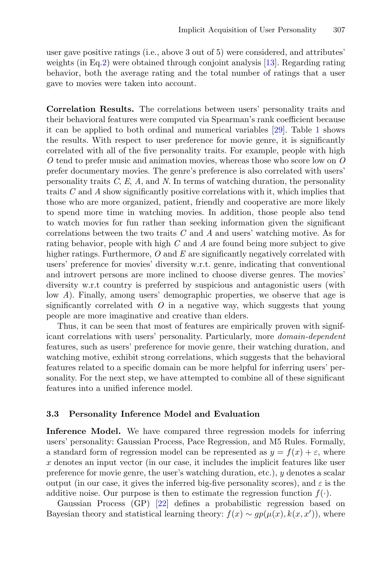user gave positive ratings (i.e., above 3 out of 5) were considered, and attributes' weights (in Eq[.2\)](#page-3-1) were obtained through conjoint analysis [\[13\]](#page-12-14). Regarding rating behavior, both the average rating and the total number of ratings that a user gave to movies were taken into account.

**Correlation Results.** The correlations between users' personality traits and their behavioral features were computed via Spearman's rank coefficient because it can be applied to both ordinal and numerical variables [\[29](#page-12-15)]. Table [1](#page-6-0) shows the results. With respect to user preference for movie genre, it is significantly correlated with all of the five personality traits. For example, people with high *O* tend to prefer music and animation movies, whereas those who score low on *O* prefer documentary movies. The genre's preference is also correlated with users' personality traits *C*, *E*, *A*, and *N*. In terms of watching duration, the personality traits *C* and *A* show significantly positive correlations with it, which implies that those who are more organized, patient, friendly and cooperative are more likely to spend more time in watching movies. In addition, those people also tend to watch movies for fun rather than seeking information given the significant correlations between the two traits *C* and *A* and users' watching motive. As for rating behavior, people with high *C* and *A* are found being more subject to give higher ratings. Furthermore, O and E are significantly negatively correlated with users' preference for movies' diversity w.r.t. genre, indicating that conventional and introvert persons are more inclined to choose diverse genres. The movies' diversity w.r.t country is preferred by suspicious and antagonistic users (with low *A*). Finally, among users' demographic properties, we observe that age is significantly correlated with  $O$  in a negative way, which suggests that young people are more imaginative and creative than elders.

Thus, it can be seen that most of features are empirically proven with significant correlations with users' personality. Particularly, more *domain-dependent* features, such as users' preference for movie genre, their watching duration, and watching motive, exhibit strong correlations, which suggests that the behavioral features related to a specific domain can be more helpful for inferring users' personality. For the next step, we have attempted to combine all of these significant features into a unified inference model.

#### <span id="page-5-0"></span>**3.3 Personality Inference Model and Evaluation**

**Inference Model.** We have compared three regression models for inferring users' personality: Gaussian Process, Pace Regression, and M5 Rules. Formally, a standard form of regression model can be represented as  $y = f(x) + \varepsilon$ , where x denotes an input vector (in our case, it includes the implicit features like user preference for movie genre, the user's watching duration, etc.), y denotes a scalar output (in our case, it gives the inferred big-five personality scores), and  $\varepsilon$  is the additive noise. Our purpose is then to estimate the regression function  $f(\cdot)$ .

Gaussian Process (GP) [\[22\]](#page-12-16) defines a probabilistic regression based on Bayesian theory and statistical learning theory:  $f(x) \sim gp(\mu(x), k(x, x'))$ , where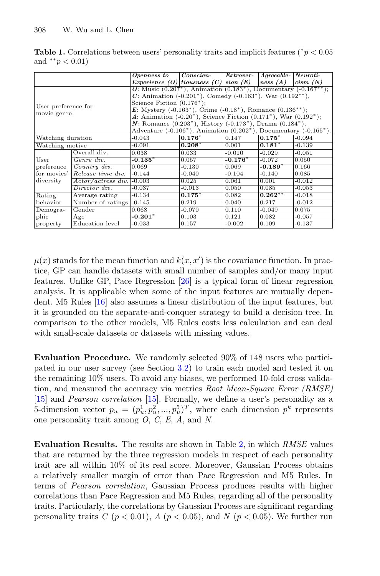|                                    |                              | <i>Openness to</i>                                                                   | Conscient | $Extrover-$ | $A greable - Neuroti -$ |          |  |
|------------------------------------|------------------------------|--------------------------------------------------------------------------------------|-----------|-------------|-------------------------|----------|--|
|                                    |                              | Experience (O) tiousness (C) sion (E)                                                |           |             | $\mid$ ness (A)         | cism(N)  |  |
| User preference for<br>movie genre |                              | <b>O</b> : Music $(0.207^*)$ , Animation $(0.183^*)$ , Documentary $(-0.167^{**})$ ; |           |             |                         |          |  |
|                                    |                              | C: Animation $(-0.201^*)$ , Comedy $(-0.163^*)$ , War $(0.192^{**})$ ,               |           |             |                         |          |  |
|                                    |                              | Science Fiction $(0.176^*)$ ;                                                        |           |             |                         |          |  |
|                                    |                              | E: Mystery $(-0.163^*)$ , Crime $(-0.18^*)$ , Romance $(0.136^{**})$ ;               |           |             |                         |          |  |
|                                    |                              | A: Animation $(-0.20^*)$ , Science Fiction $(0.171^*)$ , War $(0.192^*)$ ;           |           |             |                         |          |  |
|                                    |                              | N: Romance $(0.203^*)$ , History $(-0.173^*)$ , Drama $(0.184^*)$ ,                  |           |             |                         |          |  |
|                                    |                              | Adventure $(-0.106^*)$ , Animation $(0.202^*)$ , Documentary $(-0.165^*)$ .          |           |             |                         |          |  |
| Watching duration                  |                              | $-0.043$                                                                             | $0.176*$  | 0.147       | $0.175*$                | $-0.094$ |  |
| Watching motive                    |                              | $-0.091$                                                                             | $0.208*$  | 0.001       | $0.181*$                | $-0.139$ |  |
|                                    | Overall div.                 | 0.038                                                                                | 0.033     | $-0.010$    | $-0.029$                | $-0.051$ |  |
| User                               | Genre div.                   | $-0.135*$                                                                            | 0.057     | $-0.176*$   | $-0.072$                | 0.050    |  |
| preference                         | $\overline{Country}$ div.    | 0.069                                                                                | $-0.130$  | 0.069       | $-0.189*$               | 0.166    |  |
| for movies'                        | Release time div.            | $-0.144$                                                                             | $-0.040$  | $-0.104$    | $-0.140$                | 0.085    |  |
| diversity                          | $Actor/actress div.  -0.003$ |                                                                                      | 0.025     | 0.061       | 0.001                   | $-0.012$ |  |
|                                    | Director div.                | $-0.037$                                                                             | $-0.013$  | 0.050       | 0.085                   | $-0.053$ |  |
| Rating                             | Average rating               | $-0.134$                                                                             | $0.175*$  | 0.082       | $0.262**$               | $-0.018$ |  |
| behavior                           | Number of ratings            | $-0.145$                                                                             | 0.219     | 0.040       | 0.217                   | $-0.012$ |  |
| Demogra-                           | Gender                       | 0.068                                                                                | $-0.070$  | 0.110       | $-0.049$                | 0.075    |  |
| phic                               | Age                          | $-0.201*$                                                                            | 0.103     | 0.121       | 0.082                   | $-0.057$ |  |
| property                           | Education level              | $-0.033$                                                                             | 0.157     | $-0.002$    | 0.109                   | $-0.137$ |  |

<span id="page-6-0"></span>**Table 1.** Correlations between users' personality traits and implicit features (∗*p <* 0*.*05 and  $*$ *r* $p$  < 0.01)

 $\mu(x)$  stands for the mean function and  $k(x, x')$  is the covariance function. In prac-<br>tice, GP can handle datasets with small number of samples and/or many input tice, GP can handle datasets with small number of samples and/or many input features. Unlike GP, Pace Regression [\[26](#page-12-17)] is a typical form of linear regression analysis. It is applicable when some of the input features are mutually dependent. M5 Rules [\[16\]](#page-12-18) also assumes a linear distribution of the input features, but it is grounded on the separate-and-conquer strategy to build a decision tree. In comparison to the other models, M5 Rules costs less calculation and can deal with small-scale datasets or datasets with missing values.

**Evaluation Procedure.** We randomly selected 90% of 148 users who participated in our user survey (see Section [3.2\)](#page-4-0) to train each model and tested it on the remaining 10% users. To avoid any biases, we performed 10-fold cross validation, and measured the accuracy via metrics *Root Mean-Square Error (RMSE)* [\[15](#page-12-19)] and *Pearson correlation* [\[15\]](#page-12-19). Formally, we define a user's personality as a 5-dimension vector  $p_u = (p_u^1, p_u^2, ..., p_u^5)^T$ , where each dimension  $p^k$  represents<br>one personality trait among  $\hat{O}$   $\hat{C}$   $\hat{E}$  A and N one personality trait among *O*, *C*, *E*, *A*, and *N*.

**Evaluation Results.** The results are shown in Table [2,](#page-7-1) in which *RMSE* values that are returned by the three regression models in respect of each personality trait are all within 10% of its real score. Moreover, Gaussian Process obtains a relatively smaller margin of error than Pace Regression and M5 Rules. In terms of *Pearson correlation*, Gaussian Process produces results with higher correlations than Pace Regression and M5 Rules, regarding all of the personality traits. Particularly, the correlations by Gaussian Process are significant regarding personality traits  $C$  ( $p < 0.01$ ),  $A$  ( $p < 0.05$ ), and  $N$  ( $p < 0.05$ ). We further run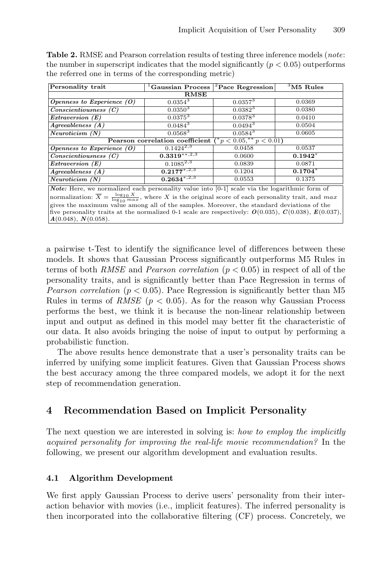| Personality trait                                                                                                                                                                                                                                                                                                                                                                                                                                                                   | <b>Gaussian Process</b> | <sup>2</sup> Pace Regression | $3^3$ M <sub>5</sub> Rules |  |  |  |  |  |
|-------------------------------------------------------------------------------------------------------------------------------------------------------------------------------------------------------------------------------------------------------------------------------------------------------------------------------------------------------------------------------------------------------------------------------------------------------------------------------------|-------------------------|------------------------------|----------------------------|--|--|--|--|--|
| <b>RMSE</b>                                                                                                                                                                                                                                                                                                                                                                                                                                                                         |                         |                              |                            |  |  |  |  |  |
| Openness to Experience $(0)$                                                                                                                                                                                                                                                                                                                                                                                                                                                        | $0.0354^{3}$            | $0.0357^{3}$                 | 0.0369                     |  |  |  |  |  |
| Conscientiousness(C)                                                                                                                                                                                                                                                                                                                                                                                                                                                                | $0.0350^{3}$            | $0.0382^{3}$                 | 0.0380                     |  |  |  |  |  |
| Extraversion $(E)$                                                                                                                                                                                                                                                                                                                                                                                                                                                                  | $0.0375^{3}$            | $0.0378^{3}$                 | 0.0410                     |  |  |  |  |  |
| $A$ qreeableness $(A)$                                                                                                                                                                                                                                                                                                                                                                                                                                                              | $0.0484^3$              | $0.0494^3$                   | 0.0504                     |  |  |  |  |  |
| Neuroticism (N)                                                                                                                                                                                                                                                                                                                                                                                                                                                                     | $0.0568^3$              | $0.0584^3$                   | 0.0605                     |  |  |  |  |  |
| $({}^*p<0.05, {}^{**}p<0.01)$<br>Pearson correlation coefficient                                                                                                                                                                                                                                                                                                                                                                                                                    |                         |                              |                            |  |  |  |  |  |
| Openness to Experience $(0)$                                                                                                                                                                                                                                                                                                                                                                                                                                                        | $0.1424^{2,3}$          | 0.0458                       | 0.0537                     |  |  |  |  |  |
| Conscientiousness(C)                                                                                                                                                                                                                                                                                                                                                                                                                                                                | $0.3319***^{2,3}$       | 0.0600                       | $0.1942*$                  |  |  |  |  |  |
| Extraversion $(E)$                                                                                                                                                                                                                                                                                                                                                                                                                                                                  | $0.1085^{2,3}$          | 0.0839                       | 0.0871                     |  |  |  |  |  |
| $A\text{green}$ bleness $(A)$                                                                                                                                                                                                                                                                                                                                                                                                                                                       | $0.2177^{*,2,3}$        | 0.1204                       | $0.1704*$                  |  |  |  |  |  |
| Neuroticism (N)                                                                                                                                                                                                                                                                                                                                                                                                                                                                     | $0.2634^{*,2,3}$        | 0.0553                       | 0.1375                     |  |  |  |  |  |
| <b>Note:</b> Here, we normalized each personality value into $[0-1]$ scale via the logarithmic form of<br>normalization: $\overline{X} = \frac{\log_{10} X}{\log_{10} max}$ , where X is the original score of each personality trait, and max<br>gives the maximum value among all of the samples. Moreover, the standard deviations of the<br>five personality traits at the normalized 0-1 scale are respectively: $O(0.035)$ , $C(0.038)$ , $E(0.037)$ ,<br>A(0.048), N(0.058). |                         |                              |                            |  |  |  |  |  |

<span id="page-7-1"></span>**Table 2.** RMSE and Pearson correlation results of testing three inference models (*note*: the number in superscript indicates that the model significantly  $(p < 0.05)$  outperforms the referred one in terms of the corresponding metric)

a pairwise t-Test to identify the significance level of differences between these models. It shows that Gaussian Process significantly outperforms M5 Rules in terms of both *RMSE* and *Pearson correlation* (p < <sup>0</sup>.05) in respect of all of the personality traits, and is significantly better than Pace Regression in terms of *Pearson correlation* ( $p < 0.05$ ). Pace Regression is significantly better than M5 Rules in terms of *RMSE* ( $p < 0.05$ ). As for the reason why Gaussian Process performs the best, we think it is because the non-linear relationship between input and output as defined in this model may better fit the characteristic of our data. It also avoids bringing the noise of input to output by performing a probabilistic function.

The above results hence demonstrate that a user's personality traits can be inferred by unifying some implicit features. Given that Gaussian Process shows the best accuracy among the three compared models, we adopt it for the next step of recommendation generation.

# <span id="page-7-0"></span>**4 Recommendation Based on Implicit Personality**

The next question we are interested in solving is: *how to employ the implicitly acquired personality for improving the real-life movie recommendation?* In the following, we present our algorithm development and evaluation results.

### **4.1 Algorithm Development**

We first apply Gaussian Process to derive users' personality from their interaction behavior with movies (i.e., implicit features). The inferred personality is then incorporated into the collaborative filtering (CF) process. Concretely, we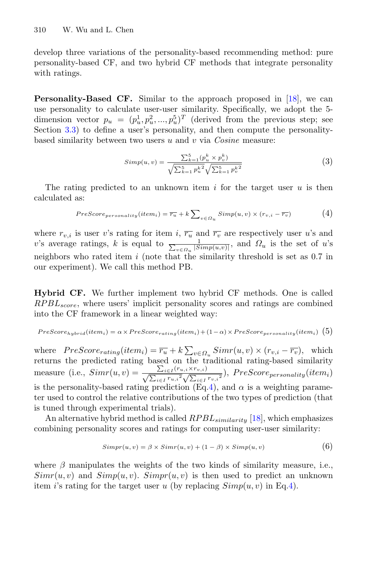develop three variations of the personality-based recommending method: pure personality-based CF, and two hybrid CF methods that integrate personality with ratings.

**Personality-Based CF.** Similar to the approach proposed in [\[18\]](#page-12-0), we can use personality to calculate user-user similarity. Specifically, we adopt the 5 dimension vector  $p_u = (p_u^1, p_u^2, ..., p_u^5)^T$  (derived from the previous step; see<br>Section 3.3) to define a user's personality and then compute the personality-Section [3.3\)](#page-5-0) to define a user's personality, and then compute the personalitybased similarity between two users u and v via *Cosine* measure:

$$
Simp(u,v) = \frac{\sum_{k=1}^{5} (p_u^k \times p_v^k)}{\sqrt{\sum_{k=1}^{5} p_u^{k^2}} \sqrt{\sum_{k=1}^{5} p_v^{k^2}}}
$$
(3)

<span id="page-8-0"></span>The rating predicted to an unknown item i for the target user  $u$  is then calculated as:

$$
PreScore_{personality}(item_i) = \overline{r_u} + k \sum_{v \in \Omega_u} Simp(u, v) \times (r_{v,i} - \overline{r_v})
$$
\n
$$
\tag{4}
$$

where  $r_{v,i}$  is user v's rating for item i,  $\overline{r_u}$  and  $\overline{r_v}$  are respectively user u's and v's average ratings, k is equal to  $\frac{1}{\sum_{v \in \Omega_u} |Simp(u,v)|}$ , and  $\Omega_u$  is the set of u's neighbors who rated item  $i$  (note that the similarity threshold is set as  $0.7$  in our experiment). We call this method PB.

**Hybrid CF.** We further implement two hybrid CF methods. One is called  $RPBL_{score}$ , where users' implicit personality scores and ratings are combined into the CF framework in a linear weighted way:

<span id="page-8-1"></span>
$$
Prescore_{hybrid}(item_i) = \alpha \times Prescore_{rating}(item_i) + (1 - \alpha) \times Prescore_{personality}(item_i) (5)
$$

where  $PreScore_{rating}(item_i) = \overline{r_u} + k \sum_{v \in \Omega_u} Simr(u, v) \times (r_{v,i} - \overline{r_v})$ , which<br>returns the predicted rating based on the traditional rating-based similarity returns the predicted rating based on the traditional rating-based similarity measure (i.e.,  $Simr(u, v) = \frac{\sum_{i \in I} (r_{u,i} \times r_{v,i})}{\sqrt{\sum_{i \in I} r_{u,i}^2} \sqrt{\sum_{i \in I} r_{v,i}^2}}$ ),  $PreScore_{personality}(item_i)$ is the personality-based rating prediction (Eq[.4\)](#page-8-0), and  $\alpha$  is a weighting parameter used to control the relative contributions of the two types of prediction (that is tuned through experimental trials).

<span id="page-8-2"></span>An alternative hybrid method is called  $RPBL_{similarity}$  [\[18\]](#page-12-0), which emphasizes combining personality scores and ratings for computing user-user similarity:

$$
Simpr(u, v) = \beta \times Simr(u, v) + (1 - \beta) \times Simp(u, v)
$$
\n(6)

where  $\beta$  manipulates the weights of the two kinds of similarity measure, i.e.,  $Simr(u, v)$  and  $Simp(u, v)$ .  $Simpr(u, v)$  is then used to predict an unknown item i's rating for the target user u (by replacing  $Simp(u, v)$  in Eq[.4\)](#page-8-0).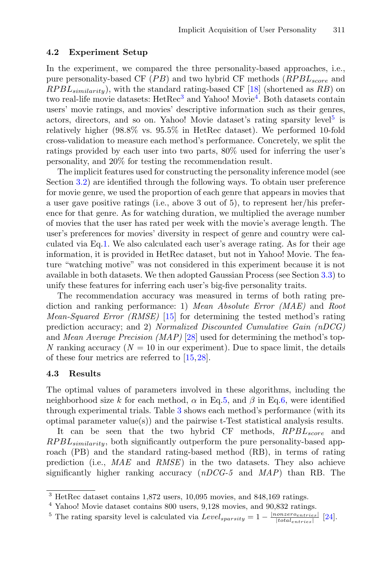#### **4.2 Experiment Setup**

In the experiment, we compared the three personality-based approaches, i.e., pure personality-based CF ( $PB$ ) and two hybrid CF methods ( $RPBL_{score}$  and  $RPBL_{similarity}$ , with the standard rating-based CF [\[18\]](#page-12-0) (shortened as RB) on two real-life movie datasets:  $HetRec<sup>3</sup>$  and Yahoo! Movie<sup>4</sup>. Both datasets contain users' movie ratings, and movies' descriptive information such as their genres, actors, directors, and so on. Yahoo! Movie dataset's rating sparsity level<sup>5</sup> is relatively higher (98.8% vs. 95.5% in HetRec dataset). We performed 10-fold cross-validation to measure each method's performance. Concretely, we split the ratings provided by each user into two parts, 80% used for inferring the user's personality, and 20% for testing the recommendation result.

The implicit features used for constructing the personality inference model (see Section [3.2\)](#page-4-0) are identified through the following ways. To obtain user preference for movie genre, we used the proportion of each genre that appears in movies that a user gave positive ratings (i.e., above 3 out of 5), to represent her/his preference for that genre. As for watching duration, we multiplied the average number of movies that the user has rated per week with the movie's average length. The user's preferences for movies' diversity in respect of genre and country were calculated via Eq[.1.](#page-3-0) We also calculated each user's average rating. As for their age information, it is provided in HetRec dataset, but not in Yahoo! Movie. The feature "watching motive" was not considered in this experiment because it is not available in both datasets. We then adopted Gaussian Process (see Section [3.3\)](#page-5-0) to unify these features for inferring each user's big-five personality traits.

The recommendation accuracy was measured in terms of both rating prediction and ranking performance: 1) *Mean Absolute Error (MAE)* and *Root Mean-Squared Error (RMSE)* [\[15](#page-12-19)] for determining the tested method's rating prediction accuracy; and 2) *Normalized Discounted Cumulative Gain (nDCG)* and *Mean Average Precision (MAP)* [\[28](#page-12-20)] used for determining the method's top-*N* ranking accuracy  $(N = 10$  in our experiment). Due to space limit, the details of these four metrics are referred to [\[15,](#page-12-19)[28](#page-12-20)].

#### **4.3 Results**

The optimal values of parameters involved in these algorithms, including the neighborhood size k for each method,  $\alpha$  in Eq[.5,](#page-8-1) and  $\beta$  in Eq[.6,](#page-8-2) were identified through experimental trials. Table [3](#page-10-1) shows each method's performance (with its optimal parameter value(s)) and the pairwise t-Test statistical analysis results.

It can be seen that the two hybrid CF methods,  $RPBL_{score}$  and  $RPBL_{similarity}$ , both significantly outperform the pure personality-based approach (PB) and the standard rating-based method (RB), in terms of rating prediction (i.e., *MAE* and *RMSE*) in the two datasets. They also achieve significantly higher ranking accuracy (*nDCG-5* and *MAP*) than RB. The

<sup>3</sup> HetRec dataset contains 1,872 users, 10,095 movies, and 848,169 ratings.

 $^4$  Yahoo! Movie dataset contains  $800$  users,  $9,\!128$  movies, and  $90,\!832$  ratings.

 $^{5}$  The rating sparsity level is calculated via  $Level_{sparsity} = 1 - \frac{|nonzero_{entries}|}{|total_{entries}|}$  [\[24](#page-12-21)].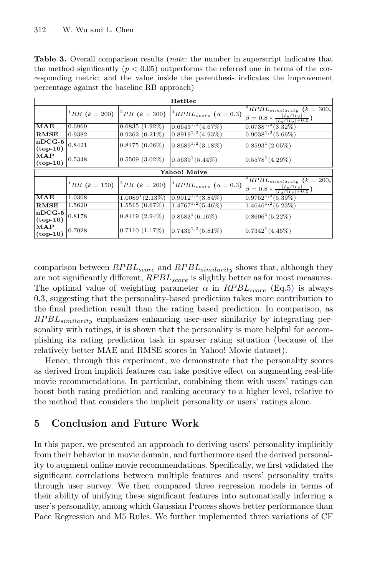| $p$ or contractor against the basement run approach |        |                                                     |                                                       |                                                                                                     |  |  |  |  |
|-----------------------------------------------------|--------|-----------------------------------------------------|-------------------------------------------------------|-----------------------------------------------------------------------------------------------------|--|--|--|--|
| HetRec                                              |        |                                                     |                                                       |                                                                                                     |  |  |  |  |
|                                                     |        | <sup>1</sup> RB (k = 200) <sup>2</sup> PB (k = 300) | <sup>3</sup> RPBL <sub>score</sub> ( $\alpha = 0.3$ ) | $A^{4}RPBL_{similarity}$ $(k = 300,$<br>$\beta = 0.8 * \frac{ I_u \cap I_v }{ I_u \cap I_v  + 0.5}$ |  |  |  |  |
| MAE                                                 | 0.6969 | $0.6835(1.92\%)$                                    | $(0.6643^{1,2}(4.67%)$                                | $0.6738^{1,2}(3.32\%)$                                                                              |  |  |  |  |
| RMSE                                                | 0.9382 | $0.9362(0.21\%)$                                    | $0.8919^{1,2}(4.93\%)$                                | $0.9038^{1,2}(3.66\%)$                                                                              |  |  |  |  |
| $nDCG-5$<br>$(top-10)$                              | 0.8421 | $0.8475(0.06\%)$                                    | $0.8689^{1,2}(3.18\%)$                                | $0.8593^1(2.05\%)$                                                                                  |  |  |  |  |
| MAP<br>$(top-10)$                                   | 0.5348 | $0.5509(3.02\%)$                                    | $ 0.5639(5.44\%)$                                     | $0.5578^1(4.29\%)$                                                                                  |  |  |  |  |
| Yahoo! Moive                                        |        |                                                     |                                                       |                                                                                                     |  |  |  |  |
|                                                     |        | <sup>1</sup> RB (k = 150) <sup>2</sup> PB (k = 200) | <sup>3</sup> RPBL <sub>score</sub> ( $\alpha = 0.3$ ) | $A^4RPBL_{similarity}$ ( $k = 200$ ,<br>$\beta = 0.8 * \frac{ I_u \cap I_v }{ I_u \cap I_v  + 0.5}$ |  |  |  |  |
| MAE                                                 | 1.0308 |                                                     | $1.0089^1(2.13\%)$ $(0.9912^{1,2}(3.84\%)$            | $0.9752^{1,2}(5.39\%)$                                                                              |  |  |  |  |
| RMSE                                                | 1.5620 | $1.5515(0.67\%)$                                    | $1.4767^{1,2}(5.46\%)$                                | $1.4646^{1,2}(6.23\%)$                                                                              |  |  |  |  |
| $nDCG-5$<br>$(top-10)$                              | 0.8178 | $0.8419(2.94\%)$                                    | $0.8683^1(6.16\%)$                                    | $0.8606^1(5.22\%)$                                                                                  |  |  |  |  |
| MAP<br>$(top-10)$                                   | 0.7028 | $0.7110(1.17\%)$                                    | $ 0.7436^{1,2}(5.81\%)$                               | $0.7342^{1}(4.45\%)$                                                                                |  |  |  |  |
|                                                     |        |                                                     |                                                       |                                                                                                     |  |  |  |  |

<span id="page-10-1"></span>**Table 3.** Overall comparison results (*note*: the number in superscript indicates that the method significantly  $(p < 0.05)$  outperforms the referred one in terms of the corresponding metric; and the value inside the parenthesis indicates the improvement percentage against the baseline RB approach)

comparison between  $RPBL_{score}$  and  $RPBL_{similarity}$  shows that, although they are not significantly different,  $RPBL_{score}$  is slightly better as for most measures. The optimal value of weighting parameter  $\alpha$  in  $RPBL_{score}$  (Eq[.5\)](#page-8-1) is always 0.3, suggesting that the personality-based prediction takes more contribution to the final prediction result than the rating based prediction. In comparison, as  $RPBL_{similarity}$  emphasizes enhancing user-user similarity by integrating personality with ratings, it is shown that the personality is more helpful for accomplishing its rating prediction task in sparser rating situation (because of the relatively better MAE and RMSE scores in Yahoo! Movie dataset).

Hence, through this experiment, we demonstrate that the personality scores as derived from implicit features can take positive effect on augmenting real-life movie recommendations. In particular, combining them with users' ratings can boost both rating prediction and ranking accuracy to a higher level, relative to the method that considers the implicit personality or users' ratings alone.

# <span id="page-10-0"></span>**5 Conclusion and Future Work**

In this paper, we presented an approach to deriving users' personality implicitly from their behavior in movie domain, and furthermore used the derived personality to augment online movie recommendations. Specifically, we first validated the significant correlations between multiple features and users' personality traits through user survey. We then compared three regression models in terms of their ability of unifying these significant features into automatically inferring a user's personality, among which Gaussian Process shows better performance than Pace Regression and M5 Rules. We further implemented three variations of CF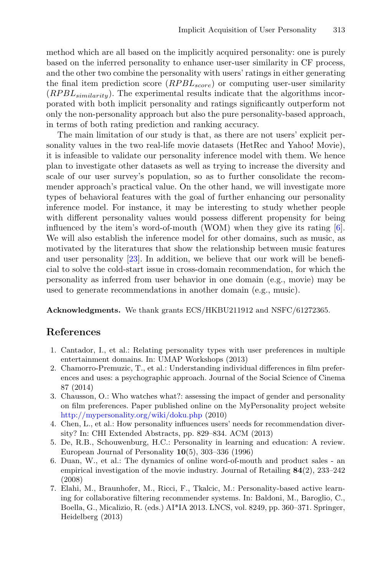method which are all based on the implicitly acquired personality: one is purely based on the inferred personality to enhance user-user similarity in CF process, and the other two combine the personality with users' ratings in either generating the final item prediction score  $(RPBL_{score})$  or computing user-user similarity  $(RPBL<sub>similarity</sub>)$ . The experimental results indicate that the algorithms incorporated with both implicit personality and ratings significantly outperform not only the non-personality approach but also the pure personality-based approach, in terms of both rating prediction and ranking accuracy.

The main limitation of our study is that, as there are not users' explicit personality values in the two real-life movie datasets (HetRec and Yahoo! Movie), it is infeasible to validate our personality inference model with them. We hence plan to investigate other datasets as well as trying to increase the diversity and scale of our user survey's population, so as to further consolidate the recommender approach's practical value. On the other hand, we will investigate more types of behavioral features with the goal of further enhancing our personality inference model. For instance, it may be interesting to study whether people with different personality values would possess different propensity for being influenced by the item's word-of-mouth (WOM) when they give its rating  $[6]$ . We will also establish the inference model for other domains, such as music, as motivated by the literatures that show the relationship between music features and user personality [\[23](#page-12-3)]. In addition, we believe that our work will be beneficial to solve the cold-start issue in cross-domain recommendation, for which the personality as inferred from user behavior in one domain (e.g., movie) may be used to generate recommendations in another domain (e.g., music).

**Acknowledgments.** We thank grants ECS/HKBU211912 and NSFC/61272365.

# <span id="page-11-1"></span>**References**

- 1. Cantador, I., et al.: Relating personality types with user preferences in multiple entertainment domains. In: UMAP Workshops (2013)
- <span id="page-11-3"></span>2. Chamorro-Premuzic, T., et al.: Understanding individual differences in film preferences and uses: a psychographic approach. Journal of the Social Science of Cinema 87 (2014)
- <span id="page-11-2"></span>3. Chausson, O.: Who watches what?: assessing the impact of gender and personality on film preferences. Paper published online on the MyPersonality project website <http://mypersonality.org/wiki/doku.php> (2010)
- <span id="page-11-4"></span>4. Chen, L., et al.: How personality influences users' needs for recommendation diversity? In: CHI Extended Abstracts, pp. 829–834. ACM (2013)
- <span id="page-11-5"></span>5. De, R.B., Schouwenburg, H.C.: Personality in learning and education: A review. European Journal of Personality **10**(5), 303–336 (1996)
- <span id="page-11-6"></span>6. Duan, W., et al.: The dynamics of online word-of-mouth and product sales - an empirical investigation of the movie industry. Journal of Retailing **84**(2), 233–242 (2008)
- <span id="page-11-0"></span>7. Elahi, M., Braunhofer, M., Ricci, F., Tkalcic, M.: Personality-based active learning for collaborative filtering recommender systems. In: Baldoni, M., Baroglio, C., Boella, G., Micalizio, R. (eds.) AI\*IA 2013. LNCS, vol. 8249, pp. 360–371. Springer, Heidelberg (2013)